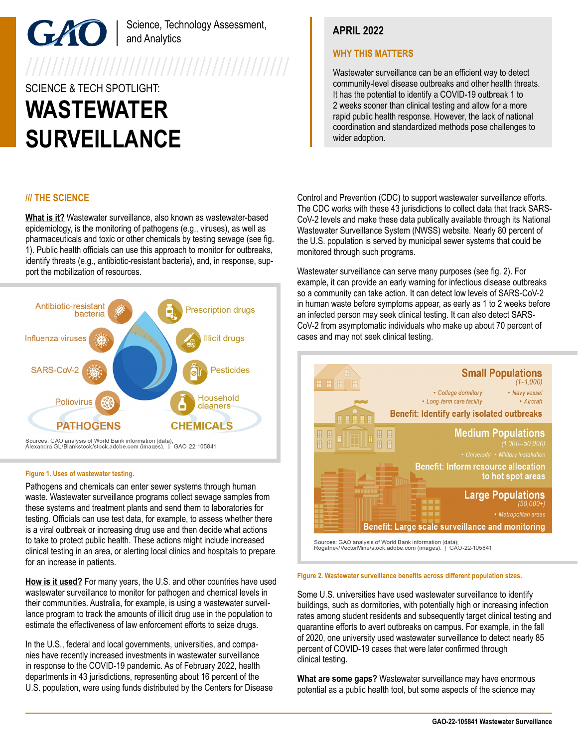Science, Technology Assessment, and Analytics

7777777777777777777777777777777777777

# SCIENCE & TECH SPOTLIGHT: **WASTEWATER SURVEILLANCE**

# **/// THE SCIENCE**

**What is it?** Wastewater surveillance, also known as wastewater-based epidemiology, is the monitoring of pathogens (e.g., viruses), as well as pharmaceuticals and toxic or other chemicals by testing sewage (see fig. 1). Public health officials can use this approach to monitor for outbreaks, identify threats (e.g., antibiotic-resistant bacteria), and, in response, support the mobilization of resources.



Sources: GAO analysis of World Bank information (data);<br>Alexandra GL/Blankstock/stock.adobe.com (images). | GAO-22-105841

#### **Figure 1. Uses of wastewater testing.**

Pathogens and chemicals can enter sewer systems through human waste. Wastewater surveillance programs collect sewage samples from these systems and treatment plants and send them to laboratories for testing. Officials can use test data, for example, to assess whether there is a viral outbreak or increasing drug use and then decide what actions to take to protect public health. These actions might include increased clinical testing in an area, or alerting local clinics and hospitals to prepare for an increase in patients.

**How is it used?** For many years, the U.S. and other countries have used wastewater surveillance to monitor for pathogen and chemical levels in their communities. Australia, for example, is using a wastewater surveillance program to track the amounts of illicit drug use in the population to estimate the effectiveness of law enforcement efforts to seize drugs.

In the U.S., federal and local governments, universities, and companies have recently increased investments in wastewater surveillance in response to the COVID-19 pandemic. As of February 2022, health departments in 43 jurisdictions, representing about 16 percent of the U.S. population, were using funds distributed by the Centers for Disease

# **APRIL 2022**

## **WHY THIS MATTERS**

Wastewater surveillance can be an efficient way to detect community-level disease outbreaks and other health threats. It has the potential to identify a COVID-19 outbreak 1 to 2 weeks sooner than clinical testing and allow for a more rapid public health response. However, the lack of national coordination and standardized methods pose challenges to wider adoption.

Control and Prevention (CDC) to support wastewater surveillance efforts. The CDC works with these 43 jurisdictions to collect data that track SARS-CoV-2 levels and make these data publically available through its National Wastewater Surveillance System (NWSS) website. Nearly 80 percent of the U.S. population is served by municipal sewer systems that could be monitored through such programs.

Wastewater surveillance can serve many purposes (see fig. 2). For example, it can provide an early warning for infectious disease outbreaks so a community can take action. It can detect low levels of SARS-CoV-2 in human waste before symptoms appear, as early as 1 to 2 weeks before an infected person may seek clinical testing. It can also detect SARS-CoV-2 from asymptomatic individuals who make up about 70 percent of cases and may not seek clinical testing.



Sources: GAO analysis of World Bank information (data);<br>Rogatnev/VectorMine/stock.adobe.com (images). | GAO-22-105841

# **Figure 2. Wastewater surveillance benefits across different population sizes.**

Some U.S. universities have used wastewater surveillance to identify buildings, such as dormitories, with potentially high or increasing infection rates among student residents and subsequently target clinical testing and quarantine efforts to avert outbreaks on campus. For example, in the fall of 2020, one university used wastewater surveillance to detect nearly 85 percent of COVID-19 cases that were later confirmed through clinical testing.

**What are some gaps?** Wastewater surveillance may have enormous potential as a public health tool, but some aspects of the science may